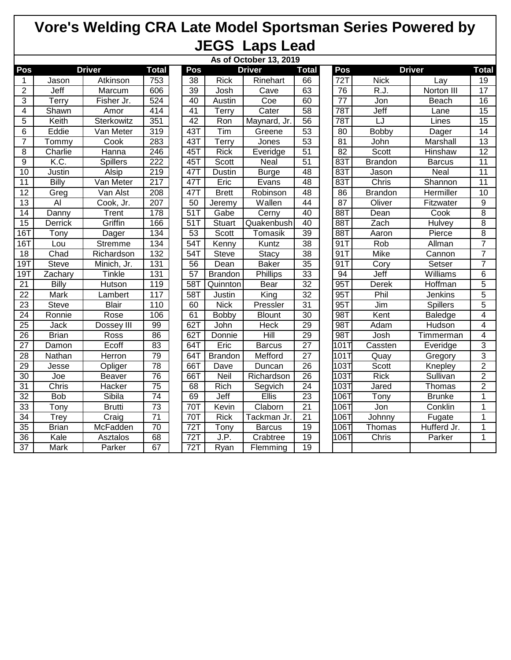## **Vore's Welding CRA Late Model Sportsman Series Powered by JEGS Laps Lead**

|                 | As of October 13, 2019       |                 |                  |                 |                |               |                 |     |                              |                   |                 |                 |
|-----------------|------------------------------|-----------------|------------------|-----------------|----------------|---------------|-----------------|-----|------------------------------|-------------------|-----------------|-----------------|
| Pos             | <b>Driver</b>                | <b>Total</b>    | Pos              |                 | <b>Driver</b>  | <b>Total</b>  |                 | Pos | <b>Driver</b>                |                   | <b>Total</b>    |                 |
| 1               | Jason                        | Atkinson        | 753              | $\overline{38}$ | <b>Rick</b>    | Rinehart      | 66              |     | 72T                          | <b>Nick</b>       | Lay             | $\overline{19}$ |
| $\overline{2}$  | Jeff                         | Marcum          | 606              | $\overline{39}$ | Josh           | Cave          | 63              |     | 76                           | $\overline{R.J.}$ | Norton III      | 17              |
| 3               | Terry                        | Fisher Jr.      | 524              | 40              | Austin         | Coe           | 60              |     | $\overline{77}$              | Jon               | Beach           | $\overline{16}$ |
| 4               | Shawn                        | Amor            | 414              | 41              | Terry          | Cater         | 58              |     | 78T                          | Jeff              | Lane            | 15              |
| 5               | Keith                        | Sterkowitz      | 351              | 42              | Ron            | Maynard, Jr.  | 56              |     | 78T                          | ĪJ                | Lines           | $\overline{15}$ |
| 6               | Eddie                        | Van Meter       | 319              | 43T             | Tim            | Greene        | $\overline{53}$ |     | 80                           | Bobby             | Dager           | $\overline{14}$ |
| $\overline{7}$  | $\overline{\mathsf{T}}$ ommy | Cook            | 283              | 43T             | Terry          | Jones         | $\overline{53}$ |     | $\overline{81}$              | John              | <b>Marshall</b> | 13              |
| 8               | Charlie                      | Hanna           | 246              | 45T             | <b>Rick</b>    | Everidge      | $\overline{51}$ |     | $\overline{82}$              | Scott             | Hinshaw         | $\overline{12}$ |
| $\overline{9}$  | K.C.                         | <b>Spillers</b> | 222              | 45T             | Scott          | <b>Neal</b>   | 51              |     | 83T                          | <b>Brandon</b>    | <b>Barcus</b>   | 11              |
| 10              | Justin                       | <b>Alsip</b>    | 219              | 47T             | <b>Dustin</b>  | <b>Burge</b>  | 48              |     | 83T                          | Jason             | <b>Neal</b>     | 11              |
| 11              | <b>Billy</b>                 | Van Meter       | $\overline{217}$ | 47T             | Eric           | Evans         | 48              |     | 83T                          | Chris             | Shannon         | $\overline{11}$ |
| $\overline{12}$ | Greg                         | Van Alst        | $\overline{208}$ | 47T             | <b>Brett</b>   | Robinson      | 48              |     | 86                           | <b>Brandon</b>    | Hermiller       | 10              |
| 13              | $\overline{A}$               | Cook, Jr.       | 207              | 50              | Jeremy         | Wallen        | 44              |     | 87                           | Oliver            | Fitzwater       | $\overline{9}$  |
| 14              | Danny                        | Trent           | 178              | 51T             | Gabe           | Cerny         | 40              |     | 88T                          | Dean              | Cook            | 8               |
| 15              | <b>Derrick</b>               | Griffin         | 166              | $\overline{51}$ | Stuart         | Quakenbush    | 40              |     | 88T                          | Zach              | <b>Hulvey</b>   | $\overline{8}$  |
| 16T             | Tony                         | Dager           | 134              | 53              | Scott          | Tomasik       | 39              |     | 88T                          | Aaron             | Pierce          | 8               |
| 16T             | Lou                          | <b>Stremme</b>  | 134              | 54T             | Kenny          | Kuntz         | 38              |     | 91T                          | Rob               | Allman          | $\overline{7}$  |
| 18              | Chad                         | Richardson      | 132              | $54$ T          | <b>Steve</b>   | <b>Stacy</b>  | 38              |     | 91T                          | <b>Mike</b>       | Cannon          | $\overline{7}$  |
| 19T             | Steve                        | Minich, Jr.     | 131              | 56              | Dean           | <b>Baker</b>  | 35              |     | 91T                          | Cory              | Setser          | $\overline{7}$  |
| 19T             | Zachary                      | Tinkle          | 131              | 57              | <b>Brandon</b> | Phillips      | 33              |     | 94                           | Jeff              | Williams        | 6               |
| $\overline{21}$ | <b>Billy</b>                 | <b>Hutson</b>   | 119              | 58T             | Quinnton       | Bear          | $\overline{32}$ |     | 95T                          | <b>Derek</b>      | Hoffman         | $\overline{5}$  |
| 22              | <b>Mark</b>                  | Lambert         | 117              | 58T             | Justin         | King          | $\overline{32}$ |     | 95T                          | Phil              | Jenkins         | $\overline{5}$  |
| 23              | <b>Steve</b>                 | <b>Blair</b>    | 110              | 60              | <b>Nick</b>    | Pressler      | 31              |     | 95T                          | Jim               | <b>Spillers</b> | $\overline{5}$  |
| $\overline{24}$ | Ronnie                       | Rose            | 106              | 61              | <b>Bobby</b>   | <b>Blount</b> | 30              |     | 98T                          | Kent              | <b>Baledge</b>  | 4               |
| $\overline{25}$ | Jack                         | Dossey III      | 99               | 62T             | John           | <b>Heck</b>   | 29              |     | 98T                          | Adam              | Hudson          | 4               |
| 26              | <b>Brian</b>                 | Ross            | 86               | 62T             | Donnie         | Hill          | 29              |     | 98T                          | Josh              | Timmerman       | 4               |
| $\overline{27}$ | Damon                        | Ecoff           | 83               | 64T             | Eric           | <b>Barcus</b> | $\overline{27}$ |     | $10\overline{1}\overline{1}$ | Cassten           | Everidge        | 3               |
| $\overline{28}$ | Nathan                       | <b>Herron</b>   | 79               | 64T             | <b>Brandon</b> | Mefford       | $\overline{27}$ |     | 101T                         | Quay              | Gregory         | $\overline{3}$  |
| 29              | Jesse                        | Opliger         | $\overline{78}$  | 66T             | Dave           | Duncan        | $\overline{26}$ |     | 103T                         | Scott             | Knepley         | $\overline{2}$  |
| 30              | Joe                          | <b>Beaver</b>   | 76               | 66T             | <b>Neil</b>    | Richardson    | $\overline{26}$ |     | 103T                         | <b>Rick</b>       | Sullivan        | $\overline{2}$  |
| $\overline{31}$ | Chris                        | Hacker          | $\overline{75}$  | 68              | Rich           | Segvich       | $\overline{24}$ |     | 103T                         | Jared             | Thomas          | $\overline{2}$  |
| $\overline{32}$ | <b>Bob</b>                   | Sibila          | $\overline{74}$  | 69              | Jeff           | <b>Ellis</b>  | 23              |     | $106$ T                      | Tony              | <b>Brunke</b>   | $\overline{1}$  |
| 33              | Tony                         | <b>Brutti</b>   | $\overline{73}$  | 70T             | Kevin          | Claborn       | $\overline{21}$ |     | 106T                         | Jon               | Conklin         | 1               |
| $\overline{34}$ | <b>Trey</b>                  | Craig           | $\overline{71}$  | 70T             | <b>Rick</b>    | Tackman Jr.   | 21              |     | 1067                         | Johnny            | Fugate          | 1               |
| $\overline{35}$ | <b>Brian</b>                 | McFadden        | 70               | 72T             | Tony           | <b>Barcus</b> | 19              |     | 106                          | Thomas            | Hufferd Jr.     | 1               |
| 36              | Kale                         | Asztalos        | 68               | 72T             | J.P.           | Crabtree      | 19              |     | 106T                         | Chris             | Parker          | 1               |
| $\overline{37}$ | <b>Mark</b>                  | Parker          | 67               | 72T             | Ryan           | Flemming      | 19              |     |                              |                   |                 |                 |